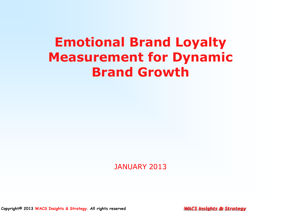# **Emotional Brand Loyalty Measurement for Dynamic Brand Growth**

JANUARY 2013

**Copyright© 2013 WACS Insights & Strategy. All rights reserved**

**WACS Insights & Strategy**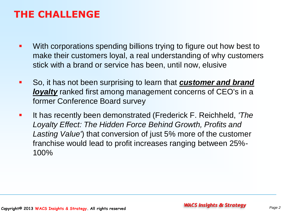#### **THE CHALLENGE**

- **•** With corporations spending billions trying to figure out how best to make their customers loyal, a real understanding of why customers stick with a brand or service has been, until now, elusive
- So, it has not been surprising to learn that *customer and brand loyalty* ranked first among management concerns of CEO's in a former Conference Board survey
- **It has recently been demonstrated (Frederick F. Reichheld, 'The** *Loyalty Effect: The Hidden Force Behind Growth, Profits and Lasting Value'*) that conversion of just 5% more of the customer franchise would lead to profit increases ranging between 25%- 100%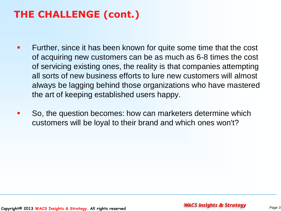# **THE CHALLENGE (cont.)**

- **FURTHERE.** Since it has been known for quite some time that the cost of acquiring new customers can be as much as 6-8 times the cost of servicing existing ones, the reality is that companies attempting all sorts of new business efforts to lure new customers will almost always be lagging behind those organizations who have mastered the art of keeping established users happy.
- So, the question becomes: how can marketers determine which customers will be loyal to their brand and which ones won't?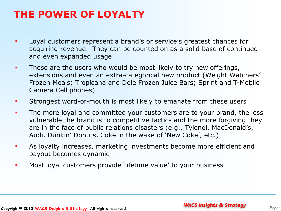#### **THE POWER OF LOYALTY**

- **Loyal customers represent a brand's or service's greatest chances for** acquiring revenue. They can be counted on as a solid base of continued and even expanded usage
- **These are the users who would be most likely to try new offerings,** extensions and even an extra-categorical new product (Weight Watchers' Frozen Meals; Tropicana and Dole Frozen Juice Bars; Sprint and T-Mobile Camera Cell phones)
- **Strongest word-of-mouth is most likely to emanate from these users**
- The more loyal and committed your customers are to your brand, the less vulnerable the brand is to competitive tactics and the more forgiving they are in the face of public relations disasters (e.g., Tylenol, MacDonald's, Audi, Dunkin' Donuts, Coke in the wake of 'New Coke', etc.)
- As loyalty increases, marketing investments become more efficient and payout becomes dynamic
- **Most loyal customers provide 'lifetime value' to your business**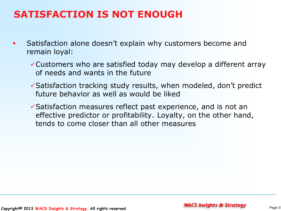#### **SATISFACTION IS NOT ENOUGH**

- **Satisfaction alone doesn't explain why customers become and State State in State Inducer** remain loyal:
	- Customers who are satisfied today may develop a different array of needs and wants in the future
	- $\checkmark$  Satisfaction tracking study results, when modeled, don't predict future behavior as well as would be liked
	- $\checkmark$  Satisfaction measures reflect past experience, and is not an effective predictor or profitability. Loyalty, on the other hand, tends to come closer than all other measures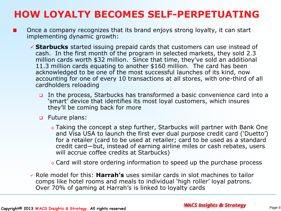## **HOW LOYALTY BECOMES SELF-PERPETUATING**

- Once a company recognizes that its brand enjoys strong loyalty, it can start **The Contract of the Contract of the Contract of the Contract of the Contract of the Contract of the Contract o** implementing dynamic growth:
	- **Starbucks** started issuing prepaid cards that customers can use instead of cash. In the first month of the program in selected markets, they sold 2.3 million cards worth \$32 million. Since that time, they've sold an additional 11.3 million cards equating to another \$160 million. The card has been acknowledged to be one of the most successful launches of its kind, now accounting for one of every 10 transactions at all stores, with one-third of all cardholders reloading
		- In the process, Starbucks has transformed a basic convenience card into a 'smart' device that identifies its most loyal customers, which insures they'll be coming back for more
		- Future plans:
			- o Taking the concept a step further, Starbucks will partner with Bank One and Visa USA to launch the first ever dual purpose credit card ('Duetto') for a retailer (card to be used at retailer; card to be used as a standard credit card—but, instead of earning airline miles or cash rebates, users will accrue coffee credits at Starbucks)
			- o Card will store ordering information to speed up the purchase process
	- Role model for this: **Harrah's** uses similar cards in slot machines to tailor comps like hotel rooms and meals to individual 'high roller' loyal patrons. Over 70% of gaming at Harrah's is linked to loyalty cards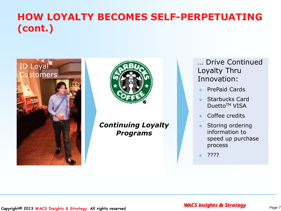### **HOW LOYALTY BECOMES SELF-PERPETUATING (cont.)**





*Continuing Loyalty Programs*

… Drive Continued Loyalty Thru Innovation:

**PrePaid Cards** 

**Starbucks Card** Duetto<sup>™</sup> VISA

Coffee credits

**Storing ordering** information to speed up purchase process

????

#### **Copyright© 2013 WACS Insights & Strategy** *Page 7* **. All rights reserved**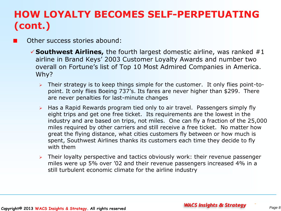# **HOW LOYALTY BECOMES SELF-PERPETUATING (cont.)**

Other success stories abound:

- **Southwest Airlines,** the fourth largest domestic airline, was ranked #1 airline in Brand Keys' 2003 Customer Loyalty Awards and number two overall on Fortune's list of Top 10 Most Admired Companies in America. Why?
	- $\triangleright$  Their strategy is to keep things simple for the customer. It only flies point-topoint. It only flies Boeing 737's. Its fares are never higher than \$299. There are never penalties for last-minute changes
	- $\triangleright$  Has a Rapid Rewards program tied only to air travel. Passengers simply fly eight trips and get one free ticket. Its requirements are the lowest in the industry and are based on trips, not miles. One can fly a fraction of the 25,000 miles required by other carriers and still receive a free ticket. No matter how great the flying distance, what cities customers fly between or how much is spent, Southwest Airlines thanks its customers each time they decide to fly with them
	- $\triangleright$  Their loyalty perspective and tactics obviously work: their revenue passenger miles were up 5% over '02 and their revenue passengers increased 4% in a still turbulent economic climate for the airline industry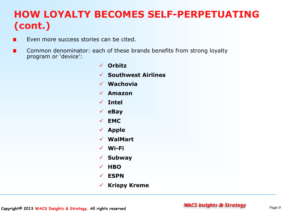# **HOW LOYALTY BECOMES SELF-PERPETUATING (cont.)**

- Even more success stories can be cited.
- Common denominator: each of these brands benefits from strong loyalty program or 'device':
	- **Orbitz Southwest Airlines Wachovia Amazon Intel eBay EMC Apple WalMart Wi-Fi Subway HBO ESPN Krispy Kreme**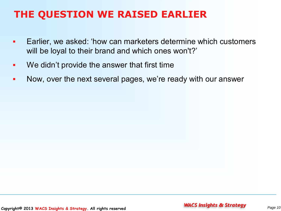### **THE QUESTION WE RAISED EARLIER**

- Earlier, we asked: 'how can marketers determine which customers will be loyal to their brand and which ones won't?'
- **We didn't provide the answer that first time**
- Now, over the next several pages, we're ready with our answer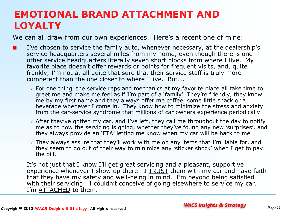#### **EMOTIONAL BRAND ATTACHMENT AND LOYALTY**

We can all draw from our own experiences. Here's a recent one of mine:

- I've chosen to service the family auto, whenever necessary, at the dealership's service headquarters several miles from my home, even though there is one other service headquarters literally seven short blocks from where I live. My favorite place doesn't offer rewards or points for frequent visits, and, quite frankly, I'm not at all quite that sure that their service staff is truly more competent than the one closer to where I live. But….
	- $\checkmark$  For one thing, the service reps and mechanics at my favorite place all take time to greet me and make me feel as if I'm part of a 'family'. They're friendly, they know me by my first name and they always offer me coffee, some little snack or a beverage whenever I come in. They know how to minimize the stress and anxiety from the car-service syndrome that millions of car owners experience periodically.
	- $\checkmark$  After they've gotten my car, and I've left, they call me throughout the day to notify me as to how the servicing is going, whether they've found any new 'surprises', and they always provide an 'ETA' letting me know when my car will be back to me
	- $\checkmark$  They always assure that they'll work with me on any items that I'm liable for, and they seem to go out of their way to minimize any 'sticker shock' when I get to pay the bill.

It's not just that I know I'll get great servicing and a pleasant, supportive experience whenever I show up there. I TRUST them with my car and have faith that they have my safety and well-being in mind. I'm beyond being satisfied with their servicing. I couldn't conceive of going elsewhere to service my car. I'm ATTACHED to them.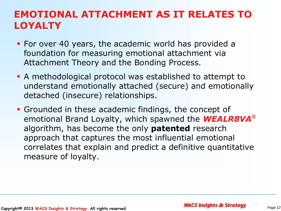#### **EMOTIONAL ATTACHMENT AS IT RELATES TO LOYALTY**

- **For over 40 years, the academic world has provided a** foundation for measuring emotional attachment via Attachment Theory and the Bonding Process.
- A methodological protocol was established to attempt to understand emotionally attached (secure) and emotionally detached (insecure) relationships.
- Grounded in these academic findings, the concept of emotional Brand Loyalty, which spawned the *WEALR8VA* algorithm, has become the only **patented** research approach that captures the most influential emotional correlates that explain and predict a definitive quantitative measure of loyalty.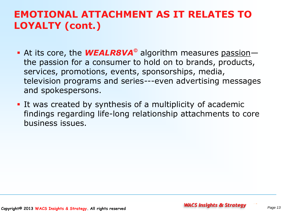#### **EMOTIONAL ATTACHMENT AS IT RELATES TO LOYALTY (cont.)**

- At its core, the **WEALR8VA**<sup>®</sup> algorithm measures passion the passion for a consumer to hold on to brands, products, services, promotions, events, sponsorships, media, television programs and series---even advertising messages and spokespersons.
- It was created by synthesis of a multiplicity of academic findings regarding life-long relationship attachments to core business issues.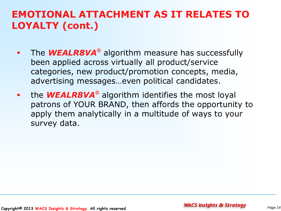#### **EMOTIONAL ATTACHMENT AS IT RELATES TO LOYALTY (cont.)**

- **The WEALR8VA**<sup>®</sup> algorithm measure has successfully been applied across virtually all product/service categories, new product/promotion concepts, media, advertising messages…even political candidates.
- **the WEALR8VA**<sup>®</sup> algorithm identifies the most loyal patrons of YOUR BRAND, then affords the opportunity to apply them analytically in a multitude of ways to your survey data.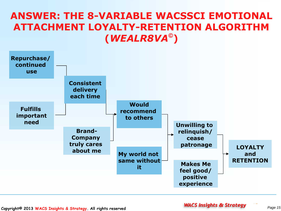#### **ANSWER: THE 8-VARIABLE WACSSCI EMOTIONAL ATTACHMENT LOYALTY-RETENTION ALGORITHM (***WEALR8VA* **)**

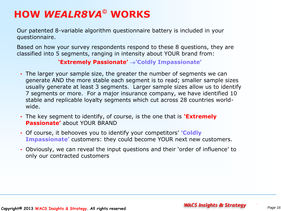# **HOW** *WEALR8VA* **WORKS**

Our patented 8-variable algorithm questionnaire battery is included in your questionnaire.

Based on how your survey respondents respond to these 8 questions, they are classified into 5 segments, ranging in intensity about YOUR brand from:

#### **'Extremely Passionate' 'Coldly Impassionate'**

- The larger your sample size, the greater the number of segments we can generate AND the more stable each segment is to read; smaller sample sizes usually generate at least 3 segments. Larger sample sizes allow us to identify 7 segments or more. For a major insurance company, we have identified 10 stable and replicable loyalty segments which cut across 28 countries worldwide.
- The key segment to identify, of course, is the one that is **'Extremely Passionate'** about YOUR BRAND
- Of course, it behooves you to identify your competitors' **'Coldly Impassionate'** customers: they could become YOUR next new customers.
- Obviously, we can reveal the input questions and their 'order of influence' to only our contracted customers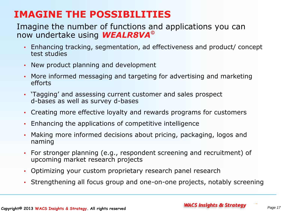#### **IMAGINE THE POSSIBILITIES**

#### Imagine the number of functions and applications you can now undertake using *WEALR8VA*

- Enhancing tracking, segmentation, ad effectiveness and product/ concept test studies
- New product planning and development
- More informed messaging and targeting for advertising and marketing efforts
- 'Tagging' and assessing current customer and sales prospect d-bases as well as survey d-bases
- Creating more effective loyalty and rewards programs for customers
- Enhancing the applications of competitive intelligence
- Making more informed decisions about pricing, packaging, logos and naming
- For stronger planning (e.g., respondent screening and recruitment) of upcoming market research projects
- Optimizing your custom proprietary research panel research
- Strengthening all focus group and one-on-one projects, notably screening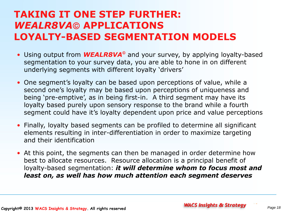#### **TAKING IT ONE STEP FURTHER: WEALR8VA© APPLICATIONS LOYALTY-BASED SEGMENTATION MODELS**

- Using output from **WEALR8VA**<sup>®</sup> and your survey, by applying loyalty-based segmentation to your survey data, you are able to hone in on different underlying segments with different loyalty 'drivers'
- One segment's loyalty can be based upon perceptions of value, while a second one's loyalty may be based upon perceptions of uniqueness and being 'pre-emptive', as in being first-in. A third segment may have its loyalty based purely upon sensory response to the brand while a fourth segment could have it's loyalty dependent upon price and value perceptions
- Finally, loyalty based segments can be profiled to determine all significant elements resulting in inter-differentiation in order to maximize targeting and their identification
- At this point, the segments can then be managed in order determine how best to allocate resources. Resource allocation is a principal benefit of loyalty-based segmentation: *it will determine whom to focus most and least on, as well has how much attention each segment deserves*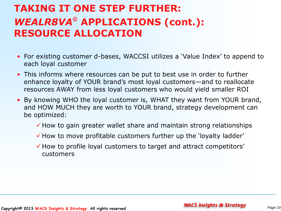# **TAKING IT ONE STEP FURTHER:**  WEALR8VA<sup>®</sup> APPLICATIONS (cont.): **RESOURCE ALLOCATION**

- For existing customer d-bases, WACCSI utilizes a 'Value Index' to append to each loyal customer
- This informs where resources can be put to best use in order to further enhance loyalty of YOUR brand's most loyal customers—and to reallocate resources AWAY from less loyal customers who would yield smaller ROI
- By knowing WHO the loyal customer is, WHAT they want from YOUR brand, and HOW MUCH they are worth to YOUR brand, strategy development can be optimized:
	- $\checkmark$  How to gain greater wallet share and maintain strong relationships
	- $\checkmark$  How to move profitable customers further up the 'loyalty ladder'
	- $\checkmark$  How to profile loyal customers to target and attract competitors' customers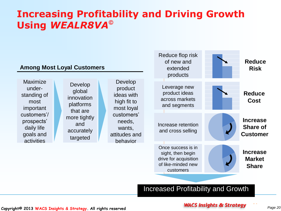#### **Increasing Profitability and Driving Growth Using** *WEALR8VA*



#### **Copyright© 2013 WACS Insights & Strategy** *Page 20* **. All rights reserved**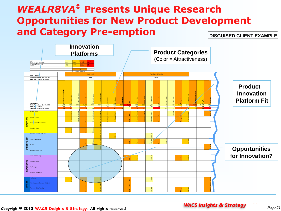#### *WEALR8VA* **Presents Unique Research Opportunities for New Product Development and Category Pre-emption**

**DISGUISED CLIENT EXAMPLE**

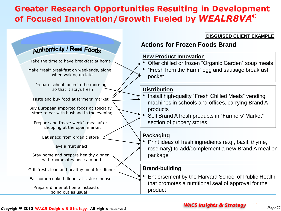#### **Greater Research Opportunities Resulting in Development of Focused Innovation/Growth Fueled by** *WEALR8VA*